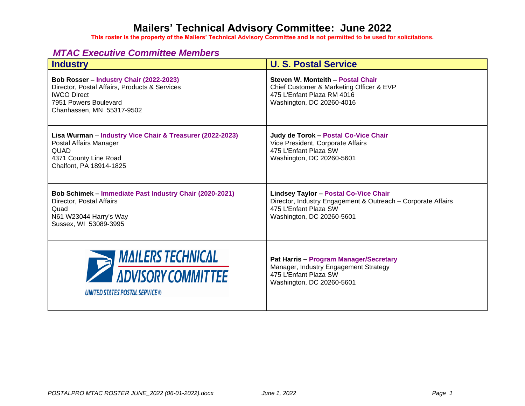**This roster is the property of the Mailers' Technical Advisory Committee and is not permitted to be used for solicitations.**

#### *MTAC Executive Committee Members*

| <b>Industry</b>                                                                                                                                                      | <b>U. S. Postal Service</b>                                                                                                                                        |
|----------------------------------------------------------------------------------------------------------------------------------------------------------------------|--------------------------------------------------------------------------------------------------------------------------------------------------------------------|
| Bob Rosser - Industry Chair (2022-2023)<br>Director, Postal Affairs, Products & Services<br><b>IWCO</b> Direct<br>7951 Powers Boulevard<br>Chanhassen, MN 55317-9502 | Steven W. Monteith - Postal Chair<br>Chief Customer & Marketing Officer & EVP<br>475 L'Enfant Plaza RM 4016<br>Washington, DC 20260-4016                           |
| Lisa Wurman - Industry Vice Chair & Treasurer (2022-2023)<br>Postal Affairs Manager<br>QUAD<br>4371 County Line Road<br>Chalfont, PA 18914-1825                      | Judy de Torok - Postal Co-Vice Chair<br>Vice President, Corporate Affairs<br>475 L'Enfant Plaza SW<br>Washington, DC 20260-5601                                    |
| Bob Schimek - Immediate Past Industry Chair (2020-2021)<br>Director, Postal Affairs<br>Quad<br>N61 W23044 Harry's Way<br>Sussex, WI 53089-3995                       | <b>Lindsey Taylor - Postal Co-Vice Chair</b><br>Director, Industry Engagement & Outreach - Corporate Affairs<br>475 L'Enfant Plaza SW<br>Washington, DC 20260-5601 |
| <b>MAILERS TECHNICAL</b><br>ADVISORY COMMITTEE<br><b>UNITED STATES POSTAL SERVICE ®</b>                                                                              | <b>Pat Harris - Program Manager/Secretary</b><br>Manager, Industry Engagement Strategy<br>475 L'Enfant Plaza SW<br>Washington, DC 20260-5601                       |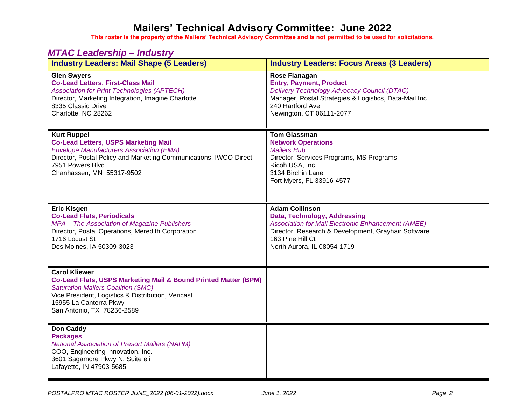**This roster is the property of the Mailers' Technical Advisory Committee and is not permitted to be used for solicitations.**

#### *MTAC Leadership – Industry*

| $-$ 20000. The mass of $\sim$<br><b>Industry Leaders: Mail Shape (5 Leaders)</b>                                                                                                                                                                              | <b>Industry Leaders: Focus Areas (3 Leaders)</b>                                                                                                                                                                             |
|---------------------------------------------------------------------------------------------------------------------------------------------------------------------------------------------------------------------------------------------------------------|------------------------------------------------------------------------------------------------------------------------------------------------------------------------------------------------------------------------------|
| <b>Glen Swyers</b><br><b>Co-Lead Letters, First-Class Mail</b><br><b>Association for Print Technologies (APTECH)</b><br>Director, Marketing Integration, Imagine Charlotte<br>8335 Classic Drive<br>Charlotte, NC 28262                                       | Rose Flanagan<br><b>Entry, Payment, Product</b><br>Delivery Technology Advocacy Council (DTAC)<br>Manager, Postal Strategies & Logistics, Data-Mail Inc<br>240 Hartford Ave<br>Newington, CT 06111-2077                      |
| <b>Kurt Ruppel</b><br><b>Co-Lead Letters, USPS Marketing Mail</b><br><b>Envelope Manufacturers Association (EMA)</b><br>Director, Postal Policy and Marketing Communications, IWCO Direct<br>7951 Powers Blvd<br>Chanhassen, MN 55317-9502                    | <b>Tom Glassman</b><br><b>Network Operations</b><br><b>Mailers Hub</b><br>Director, Services Programs, MS Programs<br>Ricoh USA, Inc.<br>3134 Birchin Lane<br>Fort Myers, FL 33916-4577                                      |
| <b>Eric Kisgen</b><br><b>Co-Lead Flats, Periodicals</b><br>MPA - The Association of Magazine Publishers<br>Director, Postal Operations, Meredith Corporation<br>1716 Locust St<br>Des Moines, IA 50309-3023                                                   | <b>Adam Collinson</b><br>Data, Technology, Addressing<br><b>Association for Mail Electronic Enhancement (AMEE)</b><br>Director, Research & Development, Grayhair Software<br>163 Pine Hill Ct<br>North Aurora, IL 08054-1719 |
| <b>Carol Kliewer</b><br><b>Co-Lead Flats, USPS Marketing Mail &amp; Bound Printed Matter (BPM)</b><br><b>Saturation Mailers Coalition (SMC)</b><br>Vice President, Logistics & Distribution, Vericast<br>15955 La Canterra Pkwy<br>San Antonio, TX 78256-2589 |                                                                                                                                                                                                                              |
| <b>Don Caddy</b><br><b>Packages</b><br><b>National Association of Presort Mailers (NAPM)</b><br>COO, Engineering Innovation, Inc.<br>3601 Sagamore Pkwy N, Suite eii<br>Lafayette, IN 47903-5685                                                              |                                                                                                                                                                                                                              |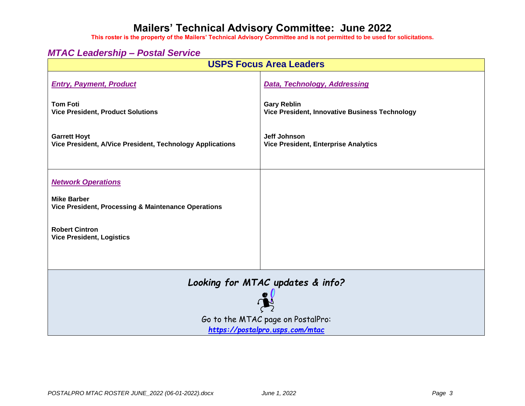**This roster is the property of the Mailers' Technical Advisory Committee and is not permitted to be used for solicitations.**

#### *MTAC Leadership – Postal Service*

| <b>USPS Focus Area Leaders</b>                                                   |                                                                      |  |
|----------------------------------------------------------------------------------|----------------------------------------------------------------------|--|
| <b>Entry, Payment, Product</b>                                                   | <b>Data, Technology, Addressing</b>                                  |  |
| <b>Tom Foti</b><br><b>Vice President, Product Solutions</b>                      | <b>Gary Reblin</b><br>Vice President, Innovative Business Technology |  |
| <b>Garrett Hoyt</b><br>Vice President, A/Vice President, Technology Applications | Jeff Johnson<br><b>Vice President, Enterprise Analytics</b>          |  |
| <b>Network Operations</b>                                                        |                                                                      |  |
| <b>Mike Barber</b><br>Vice President, Processing & Maintenance Operations        |                                                                      |  |
| <b>Robert Cintron</b><br><b>Vice President, Logistics</b>                        |                                                                      |  |
| Looking for MTAC updates & info?                                                 |                                                                      |  |
|                                                                                  |                                                                      |  |
| Go to the MTAC page on PostalPro:                                                |                                                                      |  |
| https://postalpro.usps.com/mtac                                                  |                                                                      |  |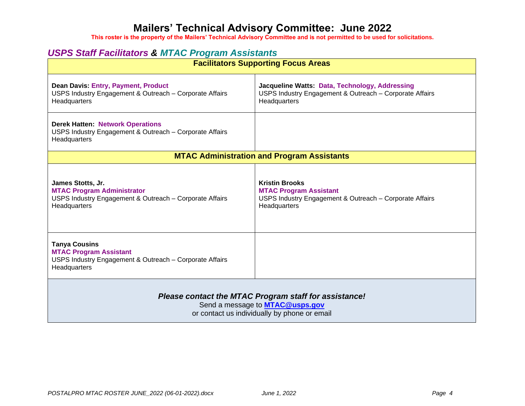**This roster is the property of the Mailers' Technical Advisory Committee and is not permitted to be used for solicitations.**

#### *USPS Staff Facilitators & MTAC Program Assistants*

| <b>Facilitators Supporting Focus Areas</b>                                                                                                      |                                                                                                                                   |  |
|-------------------------------------------------------------------------------------------------------------------------------------------------|-----------------------------------------------------------------------------------------------------------------------------------|--|
| <b>Dean Davis: Entry, Payment, Product</b><br>USPS Industry Engagement & Outreach - Corporate Affairs<br>Headquarters                           | Jacqueline Watts: Data, Technology, Addressing<br>USPS Industry Engagement & Outreach - Corporate Affairs<br>Headquarters         |  |
| <b>Derek Hatten: Network Operations</b><br>USPS Industry Engagement & Outreach - Corporate Affairs<br>Headquarters                              |                                                                                                                                   |  |
|                                                                                                                                                 | <b>MTAC Administration and Program Assistants</b>                                                                                 |  |
| James Stotts, Jr.<br><b>MTAC Program Administrator</b><br>USPS Industry Engagement & Outreach - Corporate Affairs<br>Headquarters               | <b>Kristin Brooks</b><br><b>MTAC Program Assistant</b><br>USPS Industry Engagement & Outreach - Corporate Affairs<br>Headquarters |  |
| <b>Tanya Cousins</b><br><b>MTAC Program Assistant</b><br>USPS Industry Engagement & Outreach - Corporate Affairs<br>Headquarters                |                                                                                                                                   |  |
| Please contact the MTAC Program staff for assistance!<br>Send a message to <b>MTAC@usps.gov</b><br>or contact us individually by phone or email |                                                                                                                                   |  |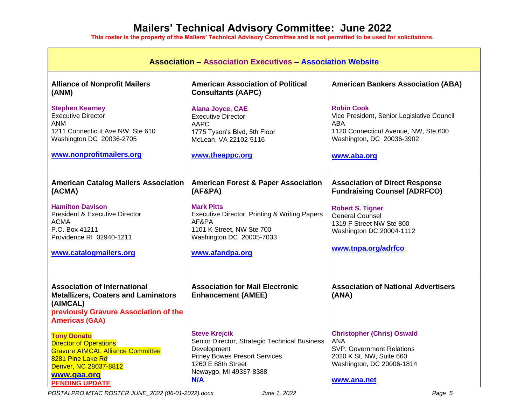| <b>Association - Association Executives - Association Website</b>                                                                                                                                                    |                                                                                                                                                                                                                      |                                                                                                                                                                                                                  |
|----------------------------------------------------------------------------------------------------------------------------------------------------------------------------------------------------------------------|----------------------------------------------------------------------------------------------------------------------------------------------------------------------------------------------------------------------|------------------------------------------------------------------------------------------------------------------------------------------------------------------------------------------------------------------|
| <b>Alliance of Nonprofit Mailers</b><br>(ANM)                                                                                                                                                                        | <b>American Association of Political</b><br><b>Consultants (AAPC)</b>                                                                                                                                                | <b>American Bankers Association (ABA)</b>                                                                                                                                                                        |
| <b>Stephen Kearney</b><br><b>Executive Director</b><br><b>ANM</b><br>1211 Connecticut Ave NW, Ste 610<br>Washington DC 20036-2705<br>www.nonprofitmailers.org                                                        | Alana Joyce, CAE<br><b>Executive Director</b><br><b>AAPC</b><br>1775 Tyson's Blvd, 5th Floor<br>McLean, VA 22102-5116<br>www.theappc.org                                                                             | <b>Robin Cook</b><br>Vice President, Senior Legislative Council<br>ABA<br>1120 Connecticut Avenue, NW, Ste 600<br>Washington, DC 20036-3902<br>www.aba.org                                                       |
| <b>American Catalog Mailers Association</b><br>(ACMA)<br><b>Hamilton Davison</b><br><b>President &amp; Executive Director</b><br><b>ACMA</b><br>P.O. Box 41211<br>Providence RI 02940-1211<br>www.catalogmailers.org | <b>American Forest &amp; Paper Association</b><br>(AF&PA)<br><b>Mark Pitts</b><br>Executive Director, Printing & Writing Papers<br>AF&PA<br>1101 K Street, NW Ste 700<br>Washington DC 20005-7033<br>www.afandpa.org | <b>Association of Direct Response</b><br><b>Fundraising Counsel (ADRFCO)</b><br><b>Robert S. Tigner</b><br><b>General Counsel</b><br>1319 F Street NW Ste 800<br>Washington DC 20004-1112<br>www.tnpa.org/adrfco |
| <b>Association of International</b><br><b>Metallizers, Coaters and Laminators</b><br>(AIMCAL)<br>previously Gravure Association of the<br><b>Americas (GAA)</b>                                                      | <b>Association for Mail Electronic</b><br><b>Enhancement (AMEE)</b>                                                                                                                                                  | <b>Association of National Advertisers</b><br>(ANA)                                                                                                                                                              |
| <b>Tony Donato</b><br><b>Director of Operations</b><br><b>Gravure AIMCAL Alliance Committee</b><br>8281 Pine Lake Rd<br>Denver, NC 28037-8812<br>www.gaa.org<br><b>PENDING UPDATE</b>                                | <b>Steve Krejcik</b><br>Senior Director, Strategic Technical Business<br>Development<br><b>Pitney Bowes Presort Services</b><br>1260 E 88th Street<br>Newaygo, MI 49337-8388<br>N/A                                  | <b>Christopher (Chris) Oswald</b><br><b>ANA</b><br>SVP, Government Relations<br>2020 K St, NW, Suite 660<br>Washington, DC 20006-1814<br>www.ana.net                                                             |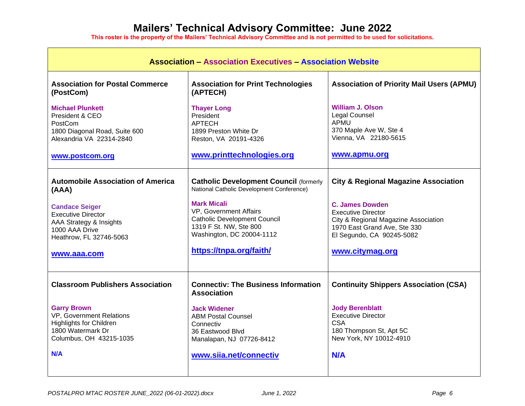| <b>Association - Association Executives - Association Website</b>                                                                                                                              |                                                                                                                                                                                                                                                                     |                                                                                                                                                                                                                                |
|------------------------------------------------------------------------------------------------------------------------------------------------------------------------------------------------|---------------------------------------------------------------------------------------------------------------------------------------------------------------------------------------------------------------------------------------------------------------------|--------------------------------------------------------------------------------------------------------------------------------------------------------------------------------------------------------------------------------|
| <b>Association for Postal Commerce</b><br>(PostCom)                                                                                                                                            | <b>Association for Print Technologies</b><br>(APTECH)                                                                                                                                                                                                               | <b>Association of Priority Mail Users (APMU)</b>                                                                                                                                                                               |
| <b>Michael Plunkett</b><br>President & CEO<br>PostCom<br>1800 Diagonal Road, Suite 600<br>Alexandria VA 22314-2840                                                                             | <b>Thayer Long</b><br>President<br><b>APTECH</b><br>1899 Preston White Dr<br>Reston, VA 20191-4326                                                                                                                                                                  | <b>William J. Olson</b><br><b>Legal Counsel</b><br>APMU<br>370 Maple Ave W, Ste 4<br>Vienna, VA 22180-5615                                                                                                                     |
| www.postcom.org                                                                                                                                                                                | www.printtechnologies.org                                                                                                                                                                                                                                           | www.apmu.org                                                                                                                                                                                                                   |
| <b>Automobile Association of America</b><br>(AAA)<br><b>Candace Seiger</b><br><b>Executive Director</b><br>AAA Strategy & Insights<br>1000 AAA Drive<br>Heathrow, FL 32746-5063<br>www.aaa.com | <b>Catholic Development Council (formerly</b><br>National Catholic Development Conference)<br><b>Mark Micali</b><br>VP, Government Affairs<br><b>Catholic Development Council</b><br>1319 F St. NW, Ste 800<br>Washington, DC 20004-1112<br>https://tnpa.org/faith/ | <b>City &amp; Regional Magazine Association</b><br><b>C. James Dowden</b><br><b>Executive Director</b><br>City & Regional Magazine Association<br>1970 East Grand Ave, Ste 330<br>El Segundo, CA 90245-5082<br>www.citymag.org |
| <b>Classroom Publishers Association</b>                                                                                                                                                        | <b>Connectiv: The Business Information</b><br><b>Association</b>                                                                                                                                                                                                    | <b>Continuity Shippers Association (CSA)</b>                                                                                                                                                                                   |
| <b>Garry Brown</b><br><b>VP, Government Relations</b><br><b>Highlights for Children</b><br>1800 Watermark Dr<br>Columbus, OH 43215-1035<br><b>N/A</b>                                          | <b>Jack Widener</b><br><b>ABM Postal Counsel</b><br>Connectiv<br>36 Eastwood Blvd<br>Manalapan, NJ 07726-8412<br>www.siia.net/connectiv                                                                                                                             | <b>Jody Berenblatt</b><br><b>Executive Director</b><br><b>CSA</b><br>180 Thompson St, Apt 5C<br>New York, NY 10012-4910<br>N/A                                                                                                 |
|                                                                                                                                                                                                |                                                                                                                                                                                                                                                                     |                                                                                                                                                                                                                                |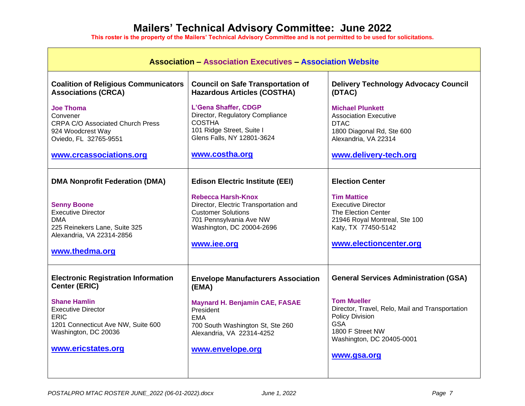| <b>Association - Association Executives - Association Website</b>                                                                             |                                                                                                                                                                 |                                                                                                                                                                               |
|-----------------------------------------------------------------------------------------------------------------------------------------------|-----------------------------------------------------------------------------------------------------------------------------------------------------------------|-------------------------------------------------------------------------------------------------------------------------------------------------------------------------------|
| <b>Coalition of Religious Communicators</b><br><b>Associations (CRCA)</b>                                                                     | <b>Council on Safe Transportation of</b><br><b>Hazardous Articles (COSTHA)</b>                                                                                  | <b>Delivery Technology Advocacy Council</b><br>(DTAC)                                                                                                                         |
| <b>Joe Thoma</b><br>Convener<br><b>CRPA C/O Associated Church Press</b><br>924 Woodcrest Way<br>Oviedo, FL 32765-9551                         | L'Gena Shaffer, CDGP<br>Director, Regulatory Compliance<br><b>COSTHA</b><br>101 Ridge Street, Suite I<br>Glens Falls, NY 12801-3624                             | <b>Michael Plunkett</b><br><b>Association Executive</b><br><b>DTAC</b><br>1800 Diagonal Rd, Ste 600<br>Alexandria, VA 22314                                                   |
| www.crcassociations.org                                                                                                                       | www.costha.org                                                                                                                                                  | www.delivery-tech.org                                                                                                                                                         |
| <b>DMA Nonprofit Federation (DMA)</b>                                                                                                         | <b>Edison Electric Institute (EEI)</b>                                                                                                                          | <b>Election Center</b>                                                                                                                                                        |
| <b>Senny Boone</b><br><b>Executive Director</b><br><b>DMA</b><br>225 Reinekers Lane, Suite 325<br>Alexandria, VA 22314-2856<br>www.thedma.org | Rebecca Harsh-Knox<br>Director, Electric Transportation and<br><b>Customer Solutions</b><br>701 Pennsylvania Ave NW<br>Washington, DC 20004-2696<br>www.iee.org | <b>Tim Mattice</b><br><b>Executive Director</b><br>The Election Center<br>21946 Royal Montreal, Ste 100<br>Katy, TX 77450-5142<br>www.electioncenter.org                      |
| <b>Electronic Registration Information</b><br>Center (ERIC)                                                                                   | <b>Envelope Manufacturers Association</b><br>(EMA)                                                                                                              | <b>General Services Administration (GSA)</b>                                                                                                                                  |
| <b>Shane Hamlin</b><br><b>Executive Director</b><br>ERIC<br>1201 Connecticut Ave NW, Suite 600<br>Washington, DC 20036<br>www.ericstates.org  | <b>Maynard H. Benjamin CAE, FASAE</b><br>President<br><b>EMA</b><br>700 South Washington St, Ste 260<br>Alexandria, VA 22314-4252<br>www.envelope.org           | <b>Tom Mueller</b><br>Director, Travel, Relo, Mail and Transportation<br><b>Policy Division</b><br><b>GSA</b><br>1800 F Street NW<br>Washington, DC 20405-0001<br>www.gsa.org |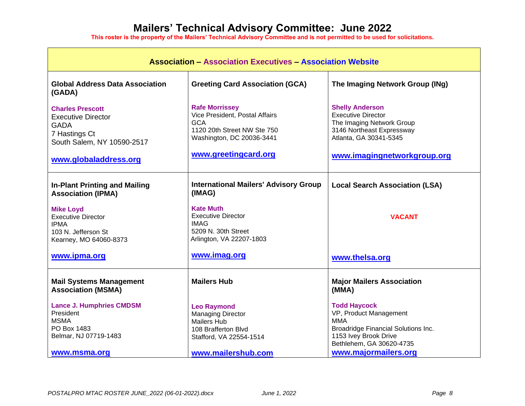| <b>Association - Association Executives - Association Website</b>                                                                           |                                                                                                                                                           |                                                                                                                                                                        |
|---------------------------------------------------------------------------------------------------------------------------------------------|-----------------------------------------------------------------------------------------------------------------------------------------------------------|------------------------------------------------------------------------------------------------------------------------------------------------------------------------|
| <b>Global Address Data Association</b><br>(GADA)                                                                                            | <b>Greeting Card Association (GCA)</b>                                                                                                                    | The Imaging Network Group (INg)                                                                                                                                        |
| <b>Charles Prescott</b><br><b>Executive Director</b><br><b>GADA</b><br>7 Hastings Ct<br>South Salem, NY 10590-2517<br>www.globaladdress.org | <b>Rafe Morrissey</b><br>Vice President, Postal Affairs<br><b>GCA</b><br>1120 20th Street NW Ste 750<br>Washington, DC 20036-3441<br>www.greetingcard.org | <b>Shelly Anderson</b><br><b>Executive Director</b><br>The Imaging Network Group<br>3146 Northeast Expressway<br>Atlanta, GA 30341-5345<br>www.imagingnetworkgroup.org |
| <b>In-Plant Printing and Mailing</b><br><b>Association (IPMA)</b>                                                                           | <b>International Mailers' Advisory Group</b><br>(IMAG)                                                                                                    | <b>Local Search Association (LSA)</b>                                                                                                                                  |
| <b>Mike Loyd</b><br><b>Executive Director</b><br><b>IPMA</b><br>103 N. Jefferson St<br>Kearney, MO 64060-8373                               | <b>Kate Muth</b><br><b>Executive Director</b><br><b>IMAG</b><br>5209 N. 30th Street<br>Arlington, VA 22207-1803                                           | <b>VACANT</b>                                                                                                                                                          |
| www.ipma.org                                                                                                                                | www.imag.org                                                                                                                                              | www.thelsa.org                                                                                                                                                         |
| <b>Mail Systems Management</b><br><b>Association (MSMA)</b>                                                                                 | <b>Mailers Hub</b>                                                                                                                                        | <b>Major Mailers Association</b><br>(MMA)                                                                                                                              |
| <b>Lance J. Humphries CMDSM</b><br>President<br><b>MSMA</b><br>PO Box 1483<br>Belmar, NJ 07719-1483                                         | <b>Leo Raymond</b><br><b>Managing Director</b><br><b>Mailers Hub</b><br>108 Brafferton Blvd<br>Stafford, VA 22554-1514                                    | <b>Todd Haycock</b><br>VP, Product Management<br><b>MMA</b><br>Broadridge Financial Solutions Inc.<br>1153 Ivey Brook Drive<br>Bethlehem, GA 30620-4735                |
| www.msma.org                                                                                                                                | www.mailershub.com                                                                                                                                        | www.majormailers.org                                                                                                                                                   |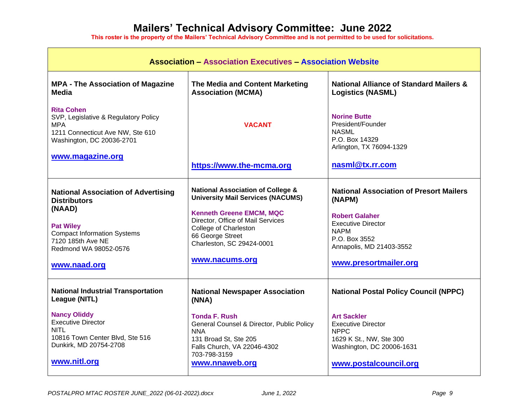| <b>Association - Association Executives - Association Website</b>                                                                                                                                   |                                                                                                                                                                                                                                                                     |                                                                                                                                                                                                     |
|-----------------------------------------------------------------------------------------------------------------------------------------------------------------------------------------------------|---------------------------------------------------------------------------------------------------------------------------------------------------------------------------------------------------------------------------------------------------------------------|-----------------------------------------------------------------------------------------------------------------------------------------------------------------------------------------------------|
| <b>MPA - The Association of Magazine</b><br>Media                                                                                                                                                   | The Media and Content Marketing<br><b>Association (MCMA)</b>                                                                                                                                                                                                        | <b>National Alliance of Standard Mailers &amp;</b><br><b>Logistics (NASML)</b>                                                                                                                      |
| <b>Rita Cohen</b><br>SVP, Legislative & Regulatory Policy<br>MPA<br>1211 Connecticut Ave NW, Ste 610<br>Washington, DC 20036-2701                                                                   | <b>VACANT</b>                                                                                                                                                                                                                                                       | <b>Norine Butte</b><br>President/Founder<br><b>NASML</b><br>P.O. Box 14329<br>Arlington, TX 76094-1329                                                                                              |
| www.magazine.org                                                                                                                                                                                    | https://www.the-mcma.org                                                                                                                                                                                                                                            | nasml@tx.rr.com                                                                                                                                                                                     |
| <b>National Association of Advertising</b><br><b>Distributors</b><br>(NAAD)<br><b>Pat Wiley</b><br><b>Compact Information Systems</b><br>7120 185th Ave NE<br>Redmond WA 98052-0576<br>www.naad.org | <b>National Association of College &amp;</b><br><b>University Mail Services (NACUMS)</b><br><b>Kenneth Greene EMCM, MQC</b><br>Director, Office of Mail Services<br><b>College of Charleston</b><br>66 George Street<br>Charleston, SC 29424-0001<br>www.nacums.org | <b>National Association of Presort Mailers</b><br>(NAPM)<br><b>Robert Galaher</b><br><b>Executive Director</b><br><b>NAPM</b><br>P.O. Box 3552<br>Annapolis, MD 21403-3552<br>www.presortmailer.org |
| <b>National Industrial Transportation</b><br>League (NITL)                                                                                                                                          | <b>National Newspaper Association</b><br>(NNA)                                                                                                                                                                                                                      | <b>National Postal Policy Council (NPPC)</b>                                                                                                                                                        |
| <b>Nancy Oliddy</b><br><b>Executive Director</b><br><b>NITL</b><br>10816 Town Center Blvd, Ste 516<br>Dunkirk, MD 20754-2708<br>www.nitl.org                                                        | <b>Tonda F. Rush</b><br>General Counsel & Director, Public Policy<br><b>NNA</b><br>131 Broad St, Ste 205<br>Falls Church, VA 22046-4302<br>703-798-3159<br>www.nnaweb.org                                                                                           | <b>Art Sackler</b><br><b>Executive Director</b><br><b>NPPC</b><br>1629 K St., NW, Ste 300<br>Washington, DC 20006-1631<br>www.postalcouncil.org                                                     |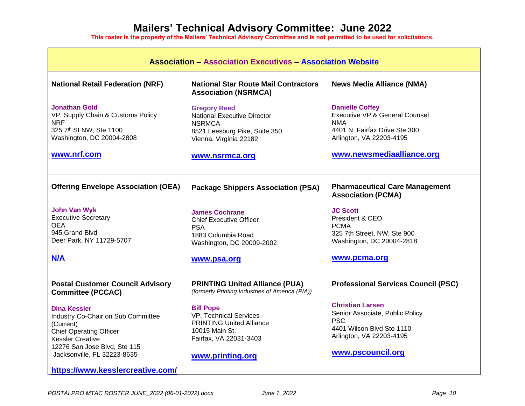| <b>Association - Association Executives - Association Website</b>                                                                                                                           |                                                                                                                                               |                                                                                                                                                        |
|---------------------------------------------------------------------------------------------------------------------------------------------------------------------------------------------|-----------------------------------------------------------------------------------------------------------------------------------------------|--------------------------------------------------------------------------------------------------------------------------------------------------------|
| <b>National Retail Federation (NRF)</b>                                                                                                                                                     | <b>National Star Route Mail Contractors</b><br><b>Association (NSRMCA)</b>                                                                    | <b>News Media Alliance (NMA)</b>                                                                                                                       |
| <b>Jonathan Gold</b><br>VP, Supply Chain & Customs Policy<br><b>NRF</b><br>325 7th St NW, Ste 1100<br>Washington, DC 20004-2808                                                             | <b>Gregory Reed</b><br><b>National Executive Director</b><br><b>NSRMCA</b><br>8521 Leesburg Pike, Suite 350<br>Vienna, Virginia 22182         | <b>Danielle Coffey</b><br>Executive VP & General Counsel<br><b>NMA</b><br>4401 N. Fairfax Drive Ste 300<br>Arlington, VA 22203-4195                    |
| www.nrf.com                                                                                                                                                                                 | www.nsrmca.org                                                                                                                                | www.newsmediaalliance.org                                                                                                                              |
| <b>Offering Envelope Association (OEA)</b>                                                                                                                                                  | <b>Package Shippers Association (PSA)</b>                                                                                                     | <b>Pharmaceutical Care Management</b><br><b>Association (PCMA)</b>                                                                                     |
| <b>John Van Wyk</b><br><b>Executive Secretary</b><br><b>OEA</b><br>945 Grand Blvd<br>Deer Park, NY 11729-5707                                                                               | <b>James Cochrane</b><br><b>Chief Executive Officer</b><br><b>PSA</b><br>1883 Columbia Road<br>Washington, DC 20009-2002                      | <b>JC Scott</b><br>President & CEO<br><b>PCMA</b><br>325 7th Street, NW, Ste 900<br>Washington, DC 20004-2818                                          |
| N/A                                                                                                                                                                                         | www.psa.org                                                                                                                                   | www.pcma.org                                                                                                                                           |
| <b>Postal Customer Council Advisory</b><br><b>Committee (PCCAC)</b>                                                                                                                         | <b>PRINTING United Alliance (PUA)</b><br>(formerly Printing Industries of America (PIA))                                                      | <b>Professional Services Council (PSC)</b>                                                                                                             |
| Dina Kessler<br>Industry Co-Chair on Sub Committee<br>(Current)<br><b>Chief Operating Officer</b><br><b>Kessler Creative</b><br>12276 San Jose Blvd, Ste 115<br>Jacksonville, FL 32223-8635 | <b>Bill Pope</b><br>VP, Technical Services<br><b>PRINTING United Alliance</b><br>10015 Main St.<br>Fairfax, VA 22031-3403<br>www.printing.org | <b>Christian Larsen</b><br>Senior Associate, Public Policy<br><b>PSC</b><br>4401 Wilson Blvd Ste 1110<br>Arlington, VA 22203-4195<br>www.pscouncil.org |
| https://www.kesslercreative.com/                                                                                                                                                            |                                                                                                                                               |                                                                                                                                                        |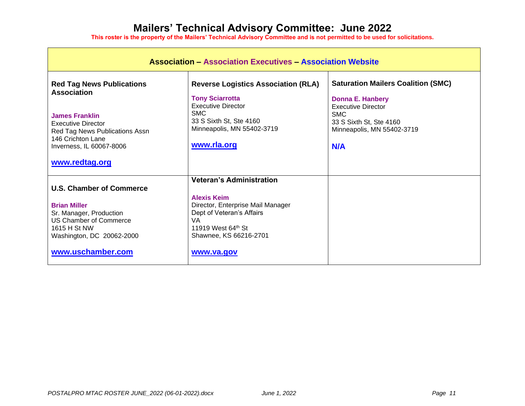| <b>Association - Association Executives - Association Website</b>                                                                                                                               |                                                                                                                                                                                                    |                                                                                                                                                                          |
|-------------------------------------------------------------------------------------------------------------------------------------------------------------------------------------------------|----------------------------------------------------------------------------------------------------------------------------------------------------------------------------------------------------|--------------------------------------------------------------------------------------------------------------------------------------------------------------------------|
| <b>Red Tag News Publications</b><br><b>Association</b><br><b>James Franklin</b><br><b>Executive Director</b><br>Red Tag News Publications Assn<br>146 Crichton Lane<br>Inverness, IL 60067-8006 | <b>Reverse Logistics Association (RLA)</b><br><b>Tony Sciarrotta</b><br><b>Executive Director</b><br><b>SMC</b><br>33 S Sixth St, Ste 4160<br>Minneapolis, MN 55402-3719<br>www.rla.org            | <b>Saturation Mailers Coalition (SMC)</b><br><b>Donna E. Hanbery</b><br>Executive Director<br><b>SMC</b><br>33 S Sixth St, Ste 4160<br>Minneapolis, MN 55402-3719<br>N/A |
| www.redtag.org                                                                                                                                                                                  |                                                                                                                                                                                                    |                                                                                                                                                                          |
| <b>U.S. Chamber of Commerce</b><br><b>Brian Miller</b><br>Sr. Manager, Production<br><b>US Chamber of Commerce</b><br>1615 H St NW<br>Washington, DC 20062-2000<br>www.uschamber.com            | <b>Veteran's Administration</b><br><b>Alexis Keim</b><br>Director, Enterprise Mail Manager<br>Dept of Veteran's Affairs<br><b>VA</b><br>11919 West 64th St<br>Shawnee, KS 66216-2701<br>www.va.gov |                                                                                                                                                                          |